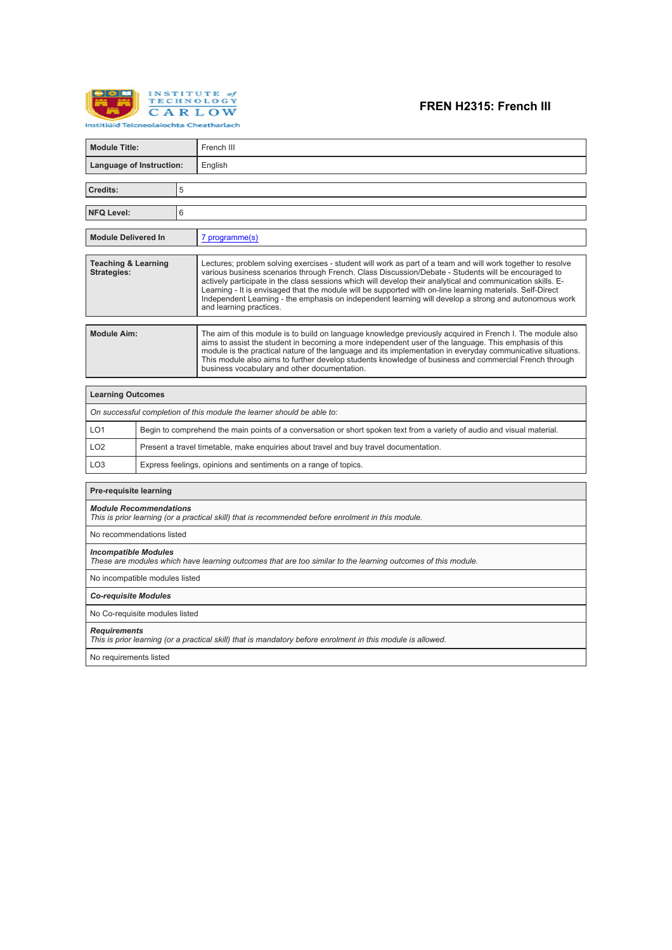

# **FREN H2315: French III**

| <b>Module Title:</b>                                                                                                                        |                                                                                       | French III                                                                                                                                                                                                                                                                                                                                                                                                                                                                                                                                                                         |  |  |  |
|---------------------------------------------------------------------------------------------------------------------------------------------|---------------------------------------------------------------------------------------|------------------------------------------------------------------------------------------------------------------------------------------------------------------------------------------------------------------------------------------------------------------------------------------------------------------------------------------------------------------------------------------------------------------------------------------------------------------------------------------------------------------------------------------------------------------------------------|--|--|--|
| Language of Instruction:                                                                                                                    |                                                                                       | English                                                                                                                                                                                                                                                                                                                                                                                                                                                                                                                                                                            |  |  |  |
| Credits:                                                                                                                                    | 5                                                                                     |                                                                                                                                                                                                                                                                                                                                                                                                                                                                                                                                                                                    |  |  |  |
|                                                                                                                                             |                                                                                       |                                                                                                                                                                                                                                                                                                                                                                                                                                                                                                                                                                                    |  |  |  |
| 6<br><b>NFQ Level:</b>                                                                                                                      |                                                                                       |                                                                                                                                                                                                                                                                                                                                                                                                                                                                                                                                                                                    |  |  |  |
| <b>Module Delivered In</b>                                                                                                                  |                                                                                       | 7 programme(s)                                                                                                                                                                                                                                                                                                                                                                                                                                                                                                                                                                     |  |  |  |
| <b>Teaching &amp; Learning</b><br><b>Strategies:</b>                                                                                        |                                                                                       | Lectures; problem solving exercises - student will work as part of a team and will work together to resolve<br>various business scenarios through French, Class Discussion/Debate - Students will be encouraged to<br>actively participate in the class sessions which will develop their analytical and communication skills. E-<br>Learning - It is envisaged that the module will be supported with on-line learning materials. Self-Direct<br>Independent Learning - the emphasis on independent learning will develop a strong and autonomous work<br>and learning practices. |  |  |  |
| <b>Module Aim:</b>                                                                                                                          |                                                                                       | The aim of this module is to build on language knowledge previously acquired in French I. The module also<br>aims to assist the student in becoming a more independent user of the language. This emphasis of this<br>module is the practical nature of the language and its implementation in everyday communicative situations.<br>This module also aims to further develop students knowledge of business and commercial French through<br>business vocabulary and other documentation.                                                                                         |  |  |  |
| <b>Learning Outcomes</b>                                                                                                                    |                                                                                       |                                                                                                                                                                                                                                                                                                                                                                                                                                                                                                                                                                                    |  |  |  |
|                                                                                                                                             |                                                                                       | On successful completion of this module the learner should be able to:                                                                                                                                                                                                                                                                                                                                                                                                                                                                                                             |  |  |  |
| LO <sub>1</sub>                                                                                                                             |                                                                                       | Begin to comprehend the main points of a conversation or short spoken text from a variety of audio and visual material.                                                                                                                                                                                                                                                                                                                                                                                                                                                            |  |  |  |
| LO <sub>2</sub>                                                                                                                             | Present a travel timetable, make enquiries about travel and buy travel documentation. |                                                                                                                                                                                                                                                                                                                                                                                                                                                                                                                                                                                    |  |  |  |
| LO <sub>3</sub>                                                                                                                             |                                                                                       | Express feelings, opinions and sentiments on a range of topics.                                                                                                                                                                                                                                                                                                                                                                                                                                                                                                                    |  |  |  |
| <b>Pre-requisite learning</b>                                                                                                               |                                                                                       |                                                                                                                                                                                                                                                                                                                                                                                                                                                                                                                                                                                    |  |  |  |
| <b>Module Recommendations</b><br>This is prior learning (or a practical skill) that is recommended before enrolment in this module.         |                                                                                       |                                                                                                                                                                                                                                                                                                                                                                                                                                                                                                                                                                                    |  |  |  |
| No recommendations listed                                                                                                                   |                                                                                       |                                                                                                                                                                                                                                                                                                                                                                                                                                                                                                                                                                                    |  |  |  |
| <b>Incompatible Modules</b><br>These are modules which have learning outcomes that are too similar to the learning outcomes of this module. |                                                                                       |                                                                                                                                                                                                                                                                                                                                                                                                                                                                                                                                                                                    |  |  |  |
| No incompatible modules listed                                                                                                              |                                                                                       |                                                                                                                                                                                                                                                                                                                                                                                                                                                                                                                                                                                    |  |  |  |
| <b>Co-requisite Modules</b>                                                                                                                 |                                                                                       |                                                                                                                                                                                                                                                                                                                                                                                                                                                                                                                                                                                    |  |  |  |
| No Co-requisite modules listed                                                                                                              |                                                                                       |                                                                                                                                                                                                                                                                                                                                                                                                                                                                                                                                                                                    |  |  |  |
| <b>Requirements</b><br>This is prior learning (or a practical skill) that is mandatory before enrolment in this module is allowed.          |                                                                                       |                                                                                                                                                                                                                                                                                                                                                                                                                                                                                                                                                                                    |  |  |  |
| No requirements listed                                                                                                                      |                                                                                       |                                                                                                                                                                                                                                                                                                                                                                                                                                                                                                                                                                                    |  |  |  |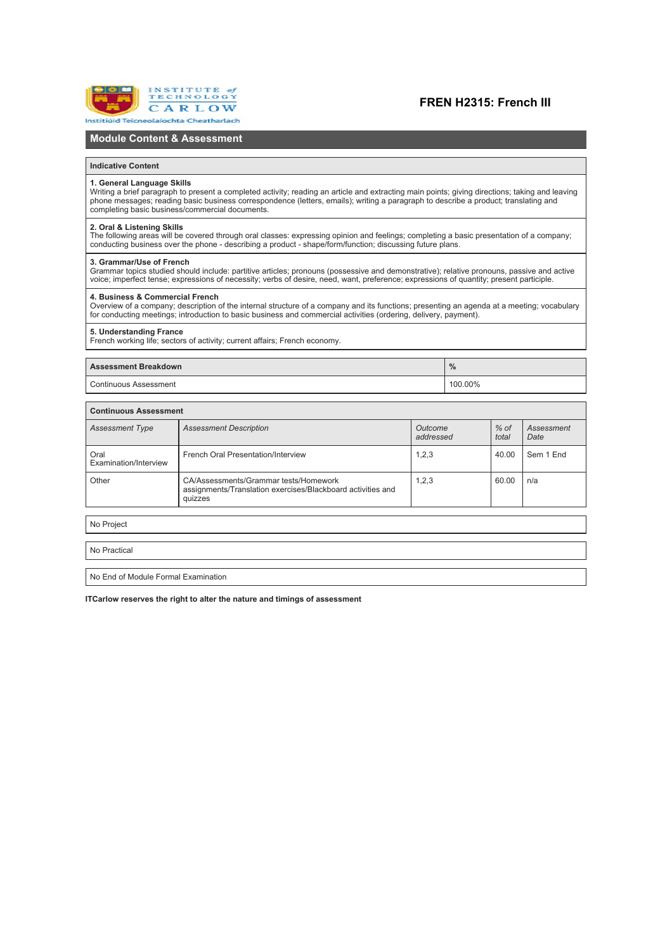

### **FREN H2315: French III**

### **Module Content & Assessment**

#### **Indicative Content**

#### **1. General Language Skills**

Writing a brief paragraph to present a completed activity; reading an article and extracting main points; giving directions; taking and leaving phone messages; reading basic business correspondence (letters, emails); writing a paragraph to describe a product; translating and<br>completing basic business/commercial documents.

### **2. Oral & Listening Skills**

The following areas will be covered through oral classes: expressing opinion and feelings; completing a basic presentation of a company;<br>conducting business over the phone - describing a product - shape/form/function: disc

#### **3. Grammar/Use of French**

Grammar topics studied should include: partitive articles; pronouns (possessive and demonstrative); relative pronouns, passive and active (Grammar) or pronouns, passive and active (Grammar) and active (Grammar) and the sta

#### **4. Business & Commercial French**

Overview of a company; description of the internal structure of a company and its functions; presenting an agenda at a meeting; vocabulary<br>for conducting meetings: introduction to basic business and commercial activities (

#### **5. Understanding France**

French working life; sectors of activity; current affairs; French economy.

### **Assessment Breakdown %**

Continuous Assessment 100.00%

| <b>Continuous Assessment</b>  |                                                                                                                 |                      |                 |                    |  |  |  |
|-------------------------------|-----------------------------------------------------------------------------------------------------------------|----------------------|-----------------|--------------------|--|--|--|
| <b>Assessment Type</b>        | <b>Assessment Description</b>                                                                                   | Outcome<br>addressed | $%$ of<br>total | Assessment<br>Date |  |  |  |
| Oral<br>Examination/Interview | French Oral Presentation/Interview                                                                              | 1,2,3                | 40.00           | Sem 1 End          |  |  |  |
| Other                         | CA/Assessments/Grammar tests/Homework<br>assignments/Translation exercises/Blackboard activities and<br>quizzes | 1,2,3                | 60.00           | n/a                |  |  |  |
|                               |                                                                                                                 |                      |                 |                    |  |  |  |
| No Project                    |                                                                                                                 |                      |                 |                    |  |  |  |

No Practical

No End of Module Formal Examination

**ITCarlow reserves the right to alter the nature and timings of assessment**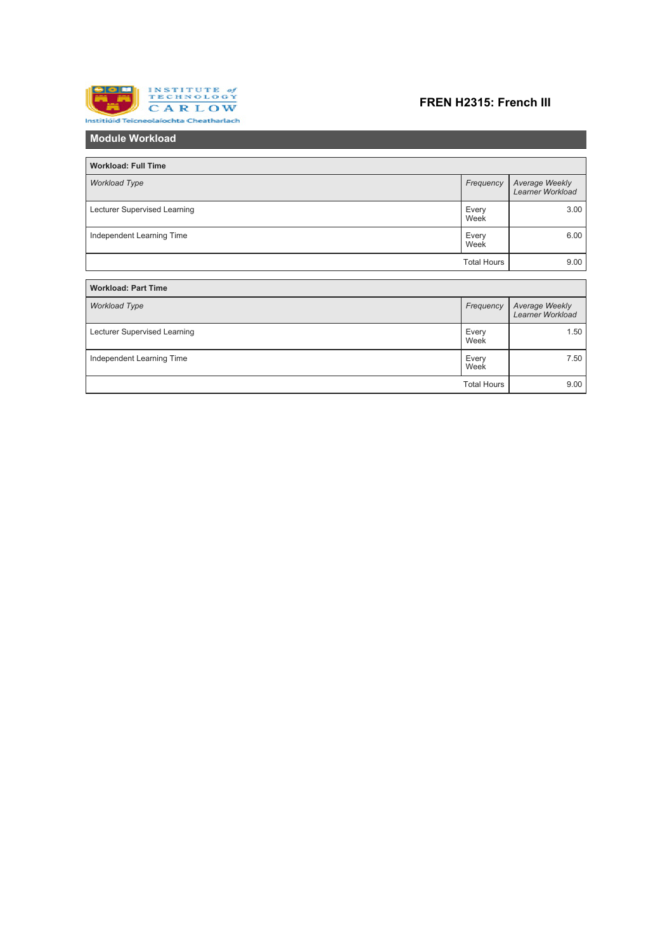

## **FREN H2315: French III**

| <b>Module Workload</b>       |                    |                                    |  |  |  |
|------------------------------|--------------------|------------------------------------|--|--|--|
|                              |                    |                                    |  |  |  |
| <b>Workload: Full Time</b>   |                    |                                    |  |  |  |
| <b>Workload Type</b>         |                    | Average Weekly<br>Learner Workload |  |  |  |
| Lecturer Supervised Learning | Every<br>Week      | 3.00                               |  |  |  |
| Independent Learning Time    | Every<br>Week      | 6.00                               |  |  |  |
|                              | <b>Total Hours</b> | 9.00                               |  |  |  |
|                              |                    |                                    |  |  |  |
| <b>Workload: Part Time</b>   |                    |                                    |  |  |  |
| <b>Workload Type</b>         | Frequency          | Average Weekly<br>Learner Workload |  |  |  |
| Lecturer Supervised Learning |                    | 1.50                               |  |  |  |
| Independent Learning Time    | Every<br>Week      | 7.50                               |  |  |  |
|                              | <b>Total Hours</b> | 9.00                               |  |  |  |